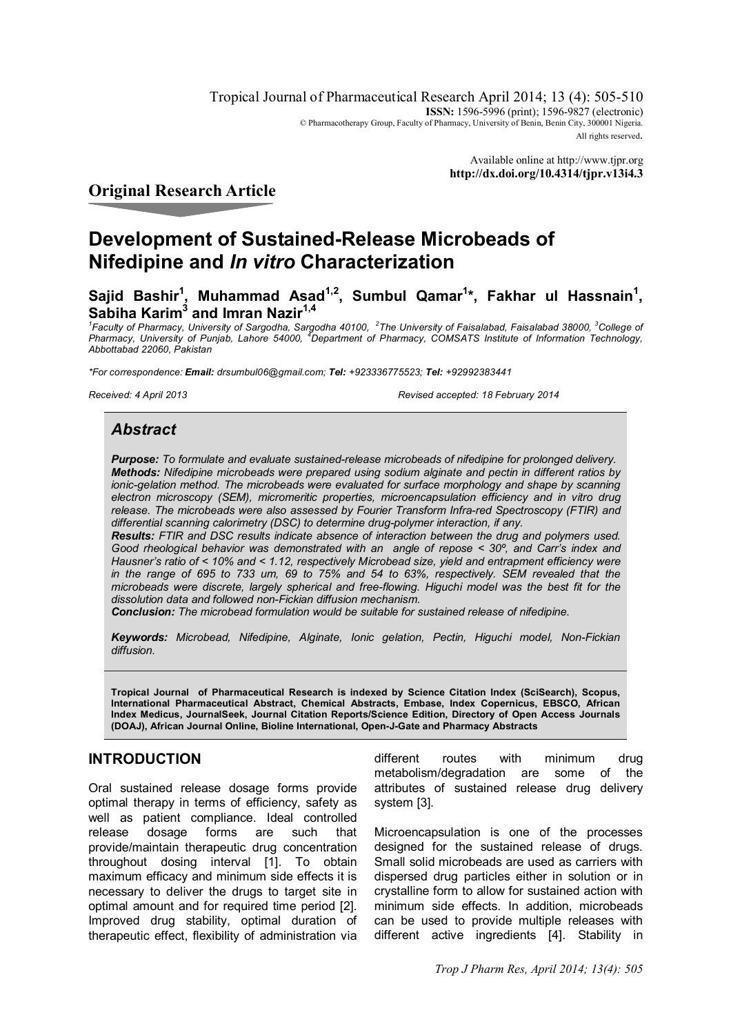Tropical Journal of Pharmaceutical Research April 2014; 13 (4): 505-510 **ISSN:** 1596-5996 (print): 1596-9827 (electronic) © Pharmacotherapy Group, Faculty of Pharmacy, University of Benin, Benin City, 300001 Nigeria. All rights reserved.

> Available online at http://www.tjpr.org **http://dx.doi.org/10.4314/tjpr.v13i4.3**

# **Original Research Article**

# **Development of Sustained-Release Microbeads of Nifedipine and** *In vitro* **Characterization**

**Sajid Bashir<sup>1</sup> , Muhammad Asad1,2, Sumbul Qamar<sup>1</sup> \*, Fakhar ul Hassnain<sup>1</sup> , Sabiha Karim<sup>3</sup> and Imran Nazir1,4**

*1 Faculty of Pharmacy, University of Sargodha, Sargodha 40100, <sup>2</sup> The University of Faisalabad, Faisalabad 38000, <sup>3</sup>College of Pharmacy, University of Punjab, Lahore 54000, <sup>4</sup>Department of Pharmacy, COMSATS Institute of Information Technology, Abbottabad 22060, Pakistan*

*\*For correspondence: Email: drsumbul06@gmail.com; Tel: +923336775523; Tel: +92992383441*

*Received: 4 April 2013 Revised accepted: 18 February 2014*

# *Abstract*

*Purpose: To formulate and evaluate sustained-release microbeads of nifedipine for prolonged delivery. Methods: Nifedipine microbeads were prepared using sodium alginate and pectin in different ratios by*  ionic-gelation method. The microbeads were evaluated for surface morphology and shape by scanning *electron microscopy (SEM), micromeritic properties, microencapsulation efficiency and in vitro drug release. The microbeads were also assessed by Fourier Transform Infra-red Spectroscopy (FTIR) and differential scanning calorimetry (DSC) to determine drug-polymer interaction, if any.*

*Results: FTIR and DSC results indicate absence of interaction between the drug and polymers used. Good rheological behavior was demonstrated with an angle of repose < 30º, and Carr's index and Hausner's ratio of < 10% and < 1.12, respectively Microbead size, yield and entrapment efficiency were in the range of 695 to 733 um, 69 to 75% and 54 to 63%, respectively. SEM revealed that the microbeads were discrete, largely spherical and free-flowing. Higuchi model was the best fit for the dissolution data and followed non-Fickian diffusion mechanism.*

*Conclusion: The microbead formulation would be suitable for sustained release of nifedipine.*

*Keywords: Microbead, Nifedipine, Alginate, Ionic gelation, Pectin, Higuchi model, Non-Fickian diffusion.*

**Tropical Journal of Pharmaceutical Research is indexed by Science Citation Index (SciSearch), Scopus, International Pharmaceutical Abstract, Chemical Abstracts, Embase, Index Copernicus, EBSCO, African Index Medicus, JournalSeek, Journal Citation Reports/Science Edition, Directory of Open Access Journals (DOAJ), African Journal Online, Bioline International, Open-J-Gate and Pharmacy Abstracts**

# **INTRODUCTION**

Oral sustained release dosage forms provide optimal therapy in terms of efficiency, safety as well as patient compliance. Ideal controlled release dosage forms are such that provide/maintain therapeutic drug concentration throughout dosing interval [1]. To obtain maximum efficacy and minimum side effects it is necessary to deliver the drugs to target site in optimal amount and for required time period [2]. Improved drug stability, optimal duration of therapeutic effect, flexibility of administration via

different routes with minimum drug metabolism/degradation are some of the attributes of sustained release drug delivery system [3].

Microencapsulation is one of the processes designed for the sustained release of drugs. Small solid microbeads are used as carriers with dispersed drug particles either in solution or in crystalline form to allow for sustained action with minimum side effects. In addition, microbeads can be used to provide multiple releases with different active ingredients [4]. Stability in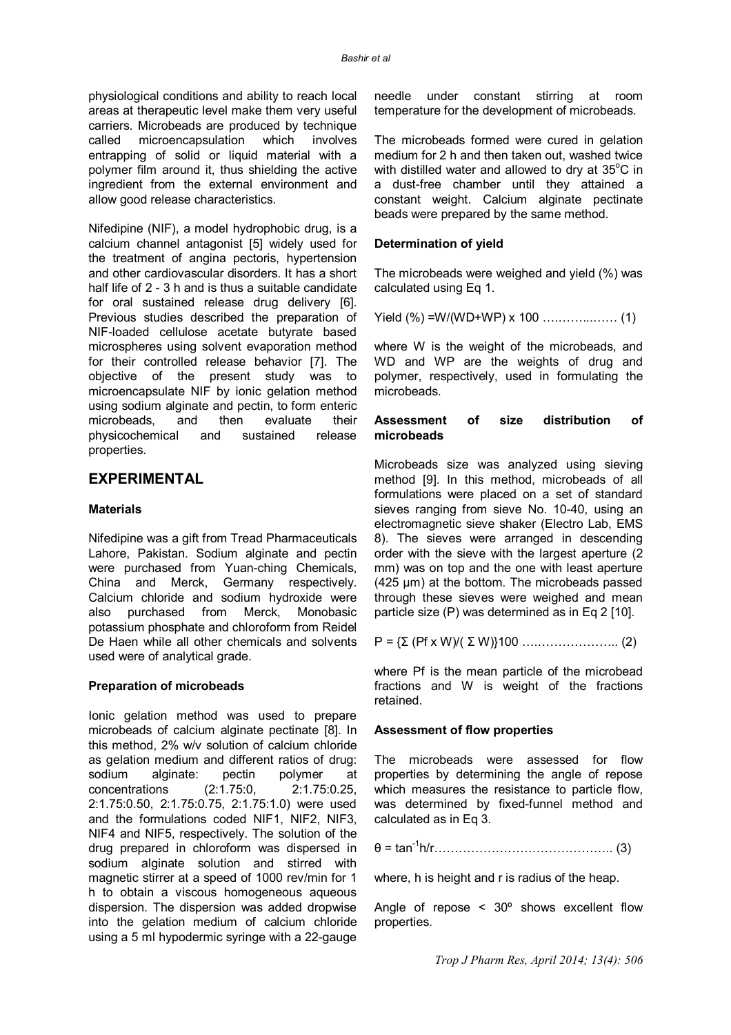physiological conditions and ability to reach local areas at therapeutic level make them very useful carriers. Microbeads are produced by technique called microencapsulation which involves entrapping of solid or liquid material with a polymer film around it, thus shielding the active ingredient from the external environment and allow good release characteristics.

Nifedipine (NIF), a model hydrophobic drug, is a calcium channel antagonist [5] widely used for the treatment of angina pectoris, hypertension and other cardiovascular disorders. It has a short half life of 2 - 3 h and is thus a suitable candidate for oral sustained release drug delivery [6]. Previous studies described the preparation of NIF-loaded cellulose acetate butyrate based microspheres using solvent evaporation method for their controlled release behavior [7]. The objective of the present study was to microencapsulate NIF by ionic gelation method using sodium alginate and pectin, to form enteric microbeads, and then evaluate their physicochemical and sustained release properties.

# **EXPERIMENTAL**

# **Materials**

Nifedipine was a gift from Tread Pharmaceuticals Lahore, Pakistan. Sodium alginate and pectin were purchased from Yuan-ching Chemicals, China and Merck, Germany respectively. Calcium chloride and sodium hydroxide were<br>also purchased from Merck, Monobasic also purchased from potassium phosphate and chloroform from Reidel De Haen while all other chemicals and solvents used were of analytical grade.

## **Preparation of microbeads**

Ionic gelation method was used to prepare microbeads of calcium alginate pectinate [8]. In this method, 2% w/v solution of calcium chloride as gelation medium and different ratios of drug:<br>sodium alginate: pectin polymer at alginate: pectin polymer at concentrations (2:1.75:0, 2:1.75:0.25, 2:1.75:0.50, 2:1.75:0.75, 2:1.75:1.0) were used and the formulations coded NIF1, NIF2, NIF3, NIF4 and NIF5, respectively. The solution of the drug prepared in chloroform was dispersed in sodium alginate solution and stirred with magnetic stirrer at a speed of 1000 rev/min for 1 h to obtain a viscous homogeneous aqueous dispersion. The dispersion was added dropwise into the gelation medium of calcium chloride using a 5 ml hypodermic syringe with a 22-gauge

needle under constant stirring at room temperature for the development of microbeads.

The microbeads formed were cured in gelation medium for 2 h and then taken out, washed twice with distilled water and allowed to dry at  $35^{\circ}$ C in a dust-free chamber until they attained a constant weight. Calcium alginate pectinate beads were prepared by the same method.

## **Determination of yield**

The microbeads were weighed and yield (%) was calculated using Eq 1.

Yield (%) = W/(WD+WP) x 100 \n
$$
\dots
$$
 (1)

where W is the weight of the microbeads, and WD and WP are the weights of drug and polymer, respectively, used in formulating the microbeads.

## **Assessment of size distribution of microbeads**

Microbeads size was analyzed using sieving method [9]. In this method, microbeads of all formulations were placed on a set of standard sieves ranging from sieve No. 10-40, using an electromagnetic sieve shaker (Electro Lab, EMS 8). The sieves were arranged in descending order with the sieve with the largest aperture (2 mm) was on top and the one with least aperture (425 µm) at the bottom. The microbeads passed through these sieves were weighed and mean particle size (P) was determined as in Eq 2 [10].

P = {Σ (Pf x W)/( Σ W)}100 ….……………….. (2)

where Pf is the mean particle of the microbead fractions and W is weight of the fractions retained.

## **Assessment of flow properties**

The microbeads were assessed for flow properties by determining the angle of repose which measures the resistance to particle flow, was determined by fixed-funnel method and calculated as in Eq 3.

θ = tan -1 h/r…………………………………….. (3)

where, h is height and r is radius of the heap.

Angle of repose < 30º shows excellent flow properties.

*Trop J Pharm Res, April 2014; 13(4): 506*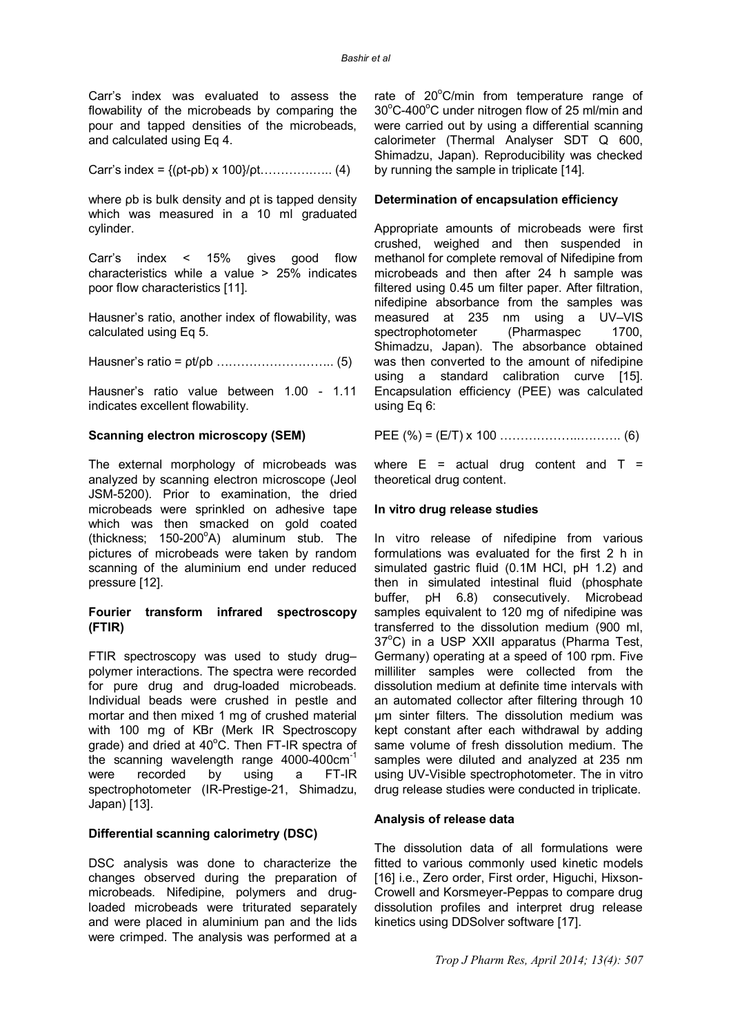Carr's index was evaluated to assess the flowability of the microbeads by comparing the pour and tapped densities of the microbeads, and calculated using Eq 4.

Carr's index = 
$$
\{(pt-pb) \times 100\}/pt
$$
............ (4)

where ρb is bulk density and ρt is tapped density which was measured in a 10 ml graduated cylinder.

Carr's index < 15% gives good flow characteristics while a value > 25% indicates poor flow characteristics [11].

Hausner's ratio, another index of flowability, was calculated using Eq 5.

Hausner's ratio = ρt/ρb ……………………….. (5)

Hausner's ratio value between 1.00 - 1.11 indicates excellent flowability.

## **Scanning electron microscopy (SEM)**

The external morphology of microbeads was analyzed by scanning electron microscope (Jeol JSM-5200). Prior to examination, the dried microbeads were sprinkled on adhesive tape which was then smacked on gold coated (thickness;  $150-200^{\circ}$ A) aluminum stub. The pictures of microbeads were taken by random scanning of the aluminium end under reduced pressure [12].

## **Fourier transform infrared spectroscopy (FTIR)**

FTIR spectroscopy was used to study drug– polymer interactions. The spectra were recorded for pure drug and drug-loaded microbeads. Individual beads were crushed in pestle and mortar and then mixed 1 mg of crushed material with 100 mg of KBr (Merk IR Spectroscopy grade) and dried at 40°C. Then FT-IR spectra of the scanning wavelength range 4000-400cm-1 were recorded by using a FT-IR spectrophotometer (IR-Prestige-21, Shimadzu, Japan) [13].

## **Differential scanning calorimetry (DSC)**

DSC analysis was done to characterize the changes observed during the preparation of microbeads. Nifedipine, polymers and drugloaded microbeads were triturated separately and were placed in aluminium pan and the lids were crimped. The analysis was performed at a

rate of  $20^{\circ}$ C/min from temperature range of  $30^{\circ}$ C-400 $^{\circ}$ C under nitrogen flow of 25 ml/min and were carried out by using a differential scanning calorimeter (Thermal Analyser SDT Q 600, Shimadzu, Japan). Reproducibility was checked by running the sample in triplicate [14].

## **Determination of encapsulation efficiency**

Appropriate amounts of microbeads were first crushed, weighed and then suspended in methanol for complete removal of Nifedipine from microbeads and then after 24 h sample was filtered using 0.45 um filter paper. After filtration, nifedipine absorbance from the samples was measured at 235 nm using a UV–VIS spectrophotometer (Pharmaspec 1700, Shimadzu, Japan). The absorbance obtained was then converted to the amount of nifedipine using a standard calibration curve [15]. Encapsulation efficiency (PEE) was calculated using Eq 6:

PEE (%) = (E/T) x 100 ………………..………. (6)

where  $E = actual$  drug content and  $T =$ theoretical drug content.

# **In vitro drug release studies**

In vitro release of nifedipine from various formulations was evaluated for the first 2 h in simulated gastric fluid (0.1M HCl, pH 1.2) and then in simulated intestinal fluid (phosphate buffer, pH 6.8) consecutively. Microbead samples equivalent to 120 mg of nifedipine was transferred to the dissolution medium (900 ml,  $37^{\circ}$ C) in a USP XXII apparatus (Pharma Test, Germany) operating at a speed of 100 rpm. Five milliliter samples were collected from the dissolution medium at definite time intervals with an automated collector after filtering through 10 µm sinter filters. The dissolution medium was kept constant after each withdrawal by adding same volume of fresh dissolution medium. The samples were diluted and analyzed at 235 nm using UV-Visible spectrophotometer. The in vitro drug release studies were conducted in triplicate.

## **Analysis of release data**

The dissolution data of all formulations were fitted to various commonly used kinetic models [16] i.e., Zero order, First order, Higuchi, Hixson-Crowell and Korsmeyer-Peppas to compare drug dissolution profiles and interpret drug release kinetics using DDSolver software [17].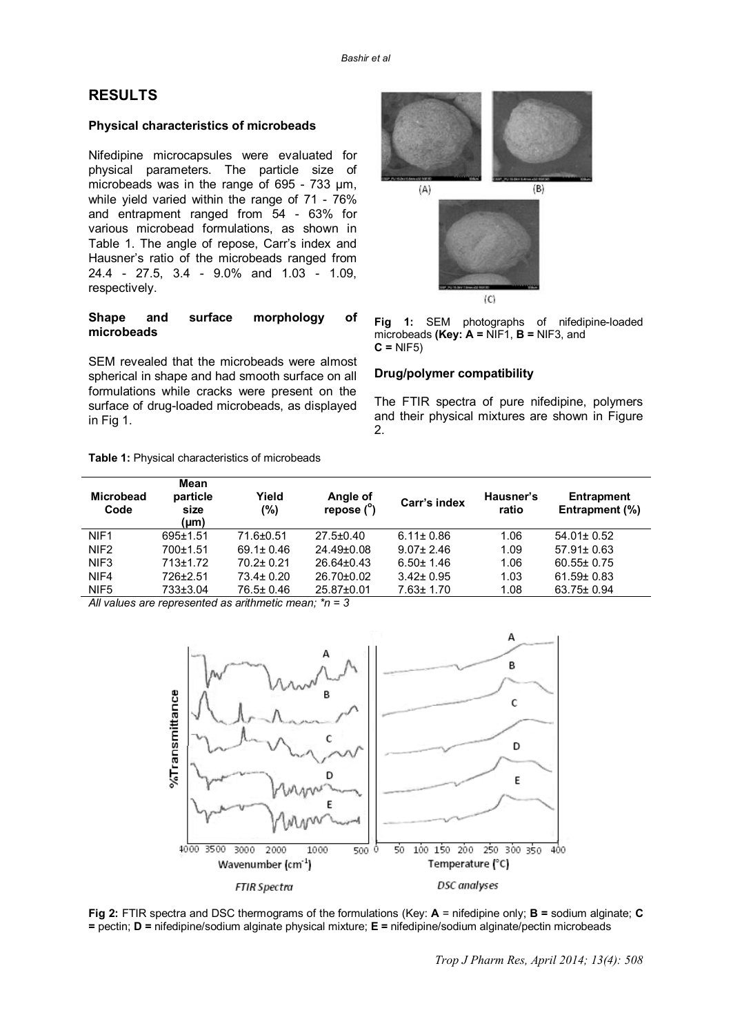# **RESULTS**

## **Physical characteristics of microbeads**

Nifedipine microcapsules were evaluated for physical parameters. The particle size of microbeads was in the range of 695 - 733 μm, while yield varied within the range of 71 - 76% and entrapment ranged from 54 - 63% for various microbead formulations, as shown in Table 1. The angle of repose, Carr's index and Hausner's ratio of the microbeads ranged from 24.4 - 27.5, 3.4 - 9.0% and 1.03 - 1.09, respectively.

## **Shape and surface morphology of microbeads**

SEM revealed that the microbeads were almost spherical in shape and had smooth surface on all formulations while cracks were present on the surface of drug-loaded microbeads, as displayed in Fig 1.

#### **Table 1:** Physical characteristics of microbeads



**Fig 1:** SEM photographs of nifedipine-loaded microbeads **(Key: A =** NIF1, **B =** NIF3, and **C =** NIF5)

# **Drug/polymer compatibility**

The FTIR spectra of pure nifedipine, polymers and their physical mixtures are shown in Figure 2.

| <b>Microbead</b><br>Code | Mean<br>particle<br>size<br>(µm) | Yield<br>(%)                                                                         | Angle of<br>repose (°) | Carr's index    | Hausner's<br>ratio | <b>Entrapment</b><br>Entrapment (%) |
|--------------------------|----------------------------------|--------------------------------------------------------------------------------------|------------------------|-----------------|--------------------|-------------------------------------|
| NIF <sub>1</sub>         | $695 \pm 1.51$                   | 71.6±0.51                                                                            | $27.5 \pm 0.40$        | $6.11 \pm 0.86$ | 1.06               | $54.01 \pm 0.52$                    |
| NIF <sub>2</sub>         | 700±1.51                         | $69.1 \pm 0.46$                                                                      | 24.49±0.08             | $9.07 \pm 2.46$ | 1.09               | $57.91 \pm 0.63$                    |
| NIF3                     | $713+1.72$                       | $70.2 \pm 0.21$                                                                      | $26.64 \pm 0.43$       | $6.50 \pm 1.46$ | 1.06               | $60.55 \pm 0.75$                    |
| NIF4                     | 726±2.51                         | $73.4 \pm 0.20$                                                                      | $26.70 \pm 0.02$       | $3.42 \pm 0.95$ | 1.03               | $61.59 \pm 0.83$                    |
| NIF <sub>5</sub>         | 733±3.04                         | 76.5± 0.46                                                                           | 25.87±0.01             | $7.63 \pm 1.70$ | 1.08               | 63.75± 0.94                         |
|                          |                                  | All continues were presented and an entitle problem and sense that $\alpha = \alpha$ |                        |                 |                    |                                     |

*All values are represented as arithmetic mean; \*n = 3*



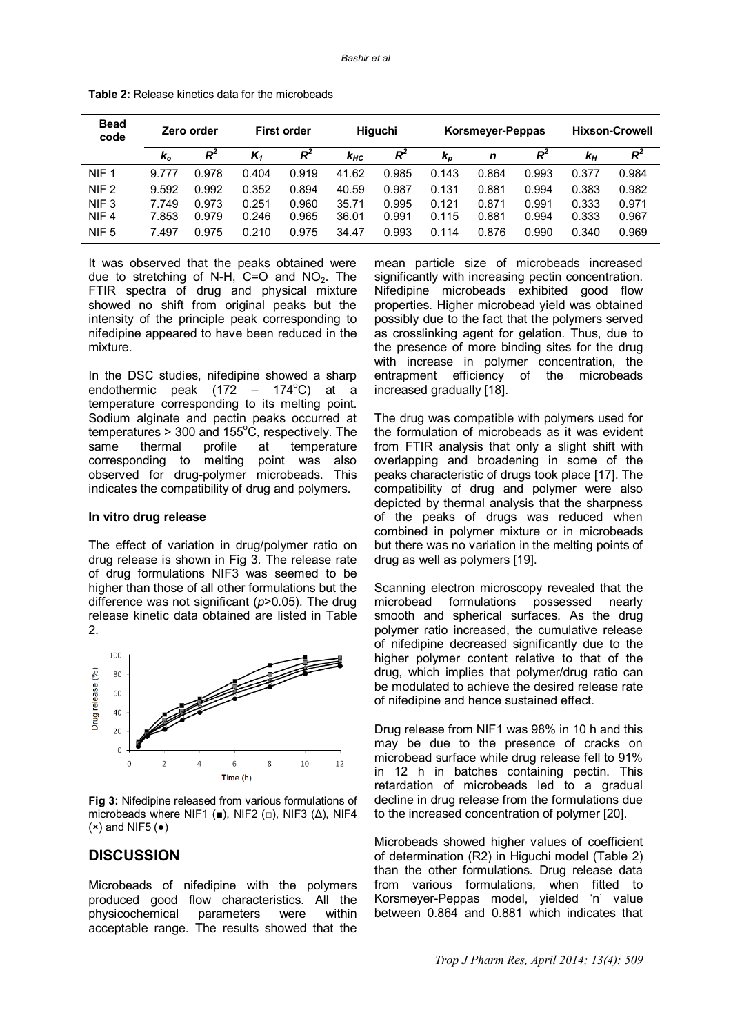| <b>Bead</b><br>code | Zero order   |       | <b>First order</b> |       | Higuchi  |       | Korsmeyer-Peppas |       |       | <b>Hixson-Crowell</b> |       |
|---------------------|--------------|-------|--------------------|-------|----------|-------|------------------|-------|-------|-----------------------|-------|
|                     | $\mathbf{k}$ | $R^2$ | $K_1$              | R     | $k_{HC}$ | $R^2$ | $k_{p}$          | n     | $R^2$ | $k_{H}$               | $R^2$ |
| NIF <sub>1</sub>    | 9.777        | 0.978 | 0.404              | 0.919 | 41.62    | 0.985 | 0.143            | 0.864 | 0.993 | 0.377                 | 0.984 |
| NIF <sub>2</sub>    | 9.592        | 0.992 | 0.352              | 0.894 | 40.59    | 0.987 | 0.131            | 0.881 | 0.994 | 0.383                 | 0.982 |
| NIF <sub>3</sub>    | 7.749        | 0.973 | 0.251              | 0.960 | 35.71    | 0.995 | 0.121            | 0.871 | 0.991 | 0.333                 | 0.971 |
| NIF <sub>4</sub>    | 7.853        | 0.979 | 0.246              | 0.965 | 36.01    | 0.991 | 0.115            | 0.881 | 0.994 | 0.333                 | 0.967 |
| NIF <sub>5</sub>    | 7.497        | 0.975 | 0.210              | 0.975 | 34.47    | 0.993 | 0.114            | 0.876 | 0.990 | 0.340                 | 0.969 |

**Table 2:** Release kinetics data for the microbeads

It was observed that the peaks obtained were due to stretching of N-H,  $C=O$  and NO<sub>2</sub>. The FTIR spectra of drug and physical mixture showed no shift from original peaks but the intensity of the principle peak corresponding to nifedipine appeared to have been reduced in the mixture.

In the DSC studies, nifedipine showed a sharp endothermic peak (172 – 174 $^{\circ}$ C) at a temperature corresponding to its melting point. Sodium alginate and pectin peaks occurred at temperatures  $> 300$  and 155 $^{\circ}$ C, respectively. The same thermal profile at temperature corresponding to melting point was also observed for drug-polymer microbeads. This indicates the compatibility of drug and polymers.

#### **In vitro drug release**

The effect of variation in drug/polymer ratio on drug release is shown in Fig 3. The release rate of drug formulations NIF3 was seemed to be higher than those of all other formulations but the difference was not significant (*p*>0.05). The drug release kinetic data obtained are listed in Table  $\mathcal{P}$ 



**Fig 3:** Nifedipine released from various formulations of microbeads where NIF1 ( $\blacksquare$ ), NIF2 ( $\Box$ ), NIF3 ( $\Delta$ ), NIF4  $(x)$  and NIF5  $(\bullet)$ 

# **DISCUSSION**

Microbeads of nifedipine with the polymers produced good flow characteristics. All the physicochemical parameters were within acceptable range. The results showed that the

mean particle size of microbeads increased significantly with increasing pectin concentration. Nifedipine microbeads exhibited good flow properties. Higher microbead yield was obtained possibly due to the fact that the polymers served as crosslinking agent for gelation. Thus, due to the presence of more binding sites for the drug with increase in polymer concentration, the entrapment efficiency of the microbeads increased gradually [18].

The drug was compatible with polymers used for the formulation of microbeads as it was evident from FTIR analysis that only a slight shift with overlapping and broadening in some of the peaks characteristic of drugs took place [17]. The compatibility of drug and polymer were also depicted by thermal analysis that the sharpness of the peaks of drugs was reduced when combined in polymer mixture or in microbeads but there was no variation in the melting points of drug as well as polymers [19].

Scanning electron microscopy revealed that the microbead formulations possessed nearly smooth and spherical surfaces. As the drug polymer ratio increased, the cumulative release of nifedipine decreased significantly due to the higher polymer content relative to that of the drug, which implies that polymer/drug ratio can be modulated to achieve the desired release rate of nifedipine and hence sustained effect.

Drug release from NIF1 was 98% in 10 h and this may be due to the presence of cracks on microbead surface while drug release fell to 91% in 12 h in batches containing pectin. This retardation of microbeads led to a gradual decline in drug release from the formulations due to the increased concentration of polymer [20].

Microbeads showed higher values of coefficient of determination (R2) in Higuchi model (Table 2) than the other formulations. Drug release data from various formulations, when fitted to Korsmeyer-Peppas model, yielded 'n' value between 0.864 and 0.881 which indicates that